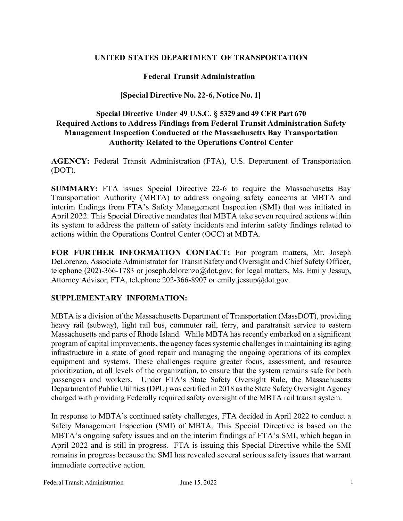# **UNITED STATES DEPARTMENT OF TRANSPORTATION**

# **Federal Transit Administration**

## **[Special Directive No. 22-6, Notice No. 1]**

# **Special Directive Under 49 U.S.C. § 5329 and 49 CFR Part 670 Required Actions to Address Findings from Federal Transit Administration Safety Management Inspection Conducted at the Massachusetts Bay Transportation Authority Related to the Operations Control Center**

**AGENCY:** Federal Transit Administration (FTA), U.S. Department of Transportation (DOT).

**SUMMARY:** FTA issues Special Directive 22-6 to require the Massachusetts Bay Transportation Authority (MBTA) to address ongoing safety concerns at MBTA and interim findings from FTA's Safety Management Inspection (SMI) that was initiated in April 2022. This Special Directive mandates that MBTA take seven required actions within its system to address the pattern of safety incidents and interim safety findings related to actions within the Operations Control Center (OCC) at MBTA.

**FOR FURTHER INFORMATION CONTACT:** For program matters, Mr. Joseph DeLorenzo, Associate Administrator for Transit Safety and Oversight and Chief Safety Officer, telephone (202)-366-1783 or joseph.delorenzo@dot.gov; for legal matters, Ms. Emily Jessup, Attorney Advisor, FTA, telephone 202-366-8907 or emily.jessup@dot.gov.

#### **SUPPLEMENTARY INFORMATION:**

MBTA is a division of the Massachusetts Department of Transportation (MassDOT), providing heavy rail (subway), light rail bus, commuter rail, ferry, and paratransit service to eastern Massachusetts and parts of Rhode Island. While MBTA has recently embarked on a significant program of capital improvements, the agency faces systemic challenges in maintaining its aging infrastructure in a state of good repair and managing the ongoing operations of its complex equipment and systems. These challenges require greater focus, assessment, and resource prioritization, at all levels of the organization, to ensure that the system remains safe for both passengers and workers. Under FTA's State Safety Oversight Rule, the Massachusetts Department of Public Utilities (DPU) was certified in 2018 as the State Safety Oversight Agency charged with providing Federally required safety oversight of the MBTA rail transit system.

In response to MBTA's continued safety challenges, FTA decided in April 2022 to conduct a Safety Management Inspection (SMI) of MBTA. This Special Directive is based on the MBTA's ongoing safety issues and on the interim findings of FTA's SMI, which began in April 2022 and is still in progress. FTA is issuing this Special Directive while the SMI remains in progress because the SMI has revealed several serious safety issues that warrant immediate corrective action.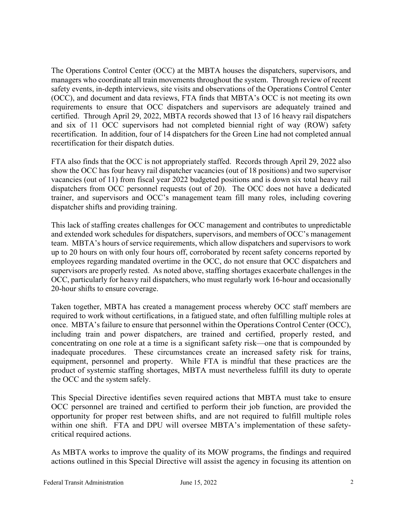The Operations Control Center (OCC) at the MBTA houses the dispatchers, supervisors, and managers who coordinate all train movements throughout the system. Through review of recent safety events, in-depth interviews, site visits and observations of the Operations Control Center (OCC), and document and data reviews, FTA finds that MBTA's OCC is not meeting its own requirements to ensure that OCC dispatchers and supervisors are adequately trained and certified. Through April 29, 2022, MBTA records showed that 13 of 16 heavy rail dispatchers and six of 11 OCC supervisors had not completed biennial right of way (ROW) safety recertification. In addition, four of 14 dispatchers for the Green Line had not completed annual recertification for their dispatch duties.

FTA also finds that the OCC is not appropriately staffed. Records through April 29, 2022 also show the OCC has four heavy rail dispatcher vacancies (out of 18 positions) and two supervisor vacancies (out of 11) from fiscal year 2022 budgeted positions and is down six total heavy rail dispatchers from OCC personnel requests (out of 20). The OCC does not have a dedicated trainer, and supervisors and OCC's management team fill many roles, including covering dispatcher shifts and providing training.

This lack of staffing creates challenges for OCC management and contributes to unpredictable and extended work schedules for dispatchers, supervisors, and members of OCC's management team. MBTA's hours of service requirements, which allow dispatchers and supervisors to work up to 20 hours on with only four hours off, corroborated by recent safety concerns reported by employees regarding mandated overtime in the OCC, do not ensure that OCC dispatchers and supervisors are properly rested. As noted above, staffing shortages exacerbate challenges in the OCC, particularly for heavy rail dispatchers, who must regularly work 16-hour and occasionally 20-hour shifts to ensure coverage.

Taken together, MBTA has created a management process whereby OCC staff members are required to work without certifications, in a fatigued state, and often fulfilling multiple roles at once. MBTA's failure to ensure that personnel within the Operations Control Center (OCC), including train and power dispatchers, are trained and certified, properly rested, and concentrating on one role at a time is a significant safety risk—one that is compounded by inadequate procedures. These circumstances create an increased safety risk for trains, equipment, personnel and property. While FTA is mindful that these practices are the product of systemic staffing shortages, MBTA must nevertheless fulfill its duty to operate the OCC and the system safely.

This Special Directive identifies seven required actions that MBTA must take to ensure OCC personnel are trained and certified to perform their job function, are provided the opportunity for proper rest between shifts, and are not required to fulfill multiple roles within one shift. FTA and DPU will oversee MBTA's implementation of these safetycritical required actions.

As MBTA works to improve the quality of its MOW programs, the findings and required actions outlined in this Special Directive will assist the agency in focusing its attention on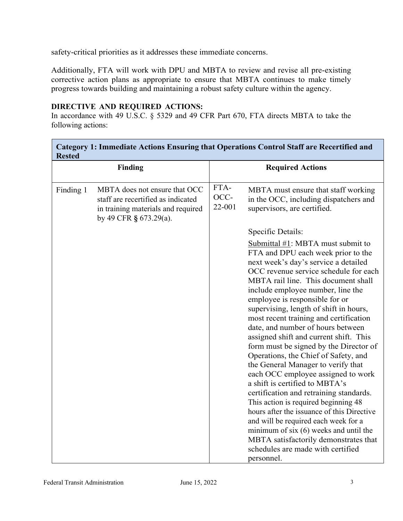safety-critical priorities as it addresses these immediate concerns.

Additionally, FTA will work with DPU and MBTA to review and revise all pre-existing corrective action plans as appropriate to ensure that MBTA continues to make timely progress towards building and maintaining a robust safety culture within the agency.

## **DIRECTIVE AND REQUIRED ACTIONS:**

 $\blacksquare$ 

In accordance with 49 U.S.C. § 5329 and 49 CFR Part 670, FTA directs MBTA to take the following actions:

| Category 1: Immediate Actions Ensuring that Operations Control Staff are Recertified and<br><b>Rested</b> |                                                                                                                                     |                         |                                                                                                                                                                                                                                                                                                                                                                                                                                                                                                                                                                                                                                                                                                                                                                                                                                                                                                                                                           |  |
|-----------------------------------------------------------------------------------------------------------|-------------------------------------------------------------------------------------------------------------------------------------|-------------------------|-----------------------------------------------------------------------------------------------------------------------------------------------------------------------------------------------------------------------------------------------------------------------------------------------------------------------------------------------------------------------------------------------------------------------------------------------------------------------------------------------------------------------------------------------------------------------------------------------------------------------------------------------------------------------------------------------------------------------------------------------------------------------------------------------------------------------------------------------------------------------------------------------------------------------------------------------------------|--|
| <b>Finding</b>                                                                                            |                                                                                                                                     | <b>Required Actions</b> |                                                                                                                                                                                                                                                                                                                                                                                                                                                                                                                                                                                                                                                                                                                                                                                                                                                                                                                                                           |  |
| Finding 1                                                                                                 | MBTA does not ensure that OCC<br>staff are recertified as indicated<br>in training materials and required<br>by 49 CFR § 673.29(a). | FTA-<br>OCC-<br>22-001  | MBTA must ensure that staff working<br>in the OCC, including dispatchers and<br>supervisors, are certified.                                                                                                                                                                                                                                                                                                                                                                                                                                                                                                                                                                                                                                                                                                                                                                                                                                               |  |
|                                                                                                           |                                                                                                                                     |                         | Specific Details:                                                                                                                                                                                                                                                                                                                                                                                                                                                                                                                                                                                                                                                                                                                                                                                                                                                                                                                                         |  |
|                                                                                                           |                                                                                                                                     |                         | Submittal #1: MBTA must submit to<br>FTA and DPU each week prior to the<br>next week's day's service a detailed<br>OCC revenue service schedule for each<br>MBTA rail line. This document shall<br>include employee number, line the<br>employee is responsible for or<br>supervising, length of shift in hours,<br>most recent training and certification<br>date, and number of hours between<br>assigned shift and current shift. This<br>form must be signed by the Director of<br>Operations, the Chief of Safety, and<br>the General Manager to verify that<br>each OCC employee assigned to work<br>a shift is certified to MBTA's<br>certification and retraining standards.<br>This action is required beginning 48<br>hours after the issuance of this Directive<br>and will be required each week for a<br>minimum of $six(6)$ weeks and until the<br>MBTA satisfactorily demonstrates that<br>schedules are made with certified<br>personnel. |  |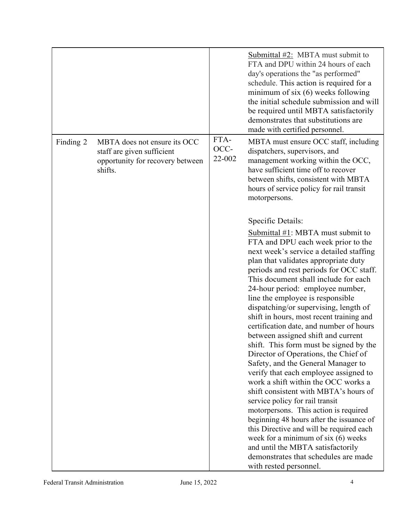|           |                                                                                                           |                        | Submittal $\#2$ : MBTA must submit to<br>FTA and DPU within 24 hours of each<br>day's operations the "as performed"<br>schedule. This action is required for a<br>minimum of six $(6)$ weeks following<br>the initial schedule submission and will<br>be required until MBTA satisfactorily<br>demonstrates that substitutions are<br>made with certified personnel.                                                                                                                                                                                                                                                                                                                                                                                                                                                                                                                                                                                                                                                                                                                  |
|-----------|-----------------------------------------------------------------------------------------------------------|------------------------|---------------------------------------------------------------------------------------------------------------------------------------------------------------------------------------------------------------------------------------------------------------------------------------------------------------------------------------------------------------------------------------------------------------------------------------------------------------------------------------------------------------------------------------------------------------------------------------------------------------------------------------------------------------------------------------------------------------------------------------------------------------------------------------------------------------------------------------------------------------------------------------------------------------------------------------------------------------------------------------------------------------------------------------------------------------------------------------|
| Finding 2 | MBTA does not ensure its OCC<br>staff are given sufficient<br>opportunity for recovery between<br>shifts. | FTA-<br>OCC-<br>22-002 | MBTA must ensure OCC staff, including<br>dispatchers, supervisors, and<br>management working within the OCC,<br>have sufficient time off to recover<br>between shifts, consistent with MBTA<br>hours of service policy for rail transit<br>motorpersons.                                                                                                                                                                                                                                                                                                                                                                                                                                                                                                                                                                                                                                                                                                                                                                                                                              |
|           |                                                                                                           |                        | Specific Details:<br>Submittal #1: MBTA must submit to<br>FTA and DPU each week prior to the<br>next week's service a detailed staffing<br>plan that validates appropriate duty<br>periods and rest periods for OCC staff.<br>This document shall include for each<br>24-hour period: employee number,<br>line the employee is responsible<br>dispatching/or supervising, length of<br>shift in hours, most recent training and<br>certification date, and number of hours<br>between assigned shift and current<br>shift. This form must be signed by the<br>Director of Operations, the Chief of<br>Safety, and the General Manager to<br>verify that each employee assigned to<br>work a shift within the OCC works a<br>shift consistent with MBTA's hours of<br>service policy for rail transit<br>motorpersons. This action is required<br>beginning 48 hours after the issuance of<br>this Directive and will be required each<br>week for a minimum of six $(6)$ weeks<br>and until the MBTA satisfactorily<br>demonstrates that schedules are made<br>with rested personnel. |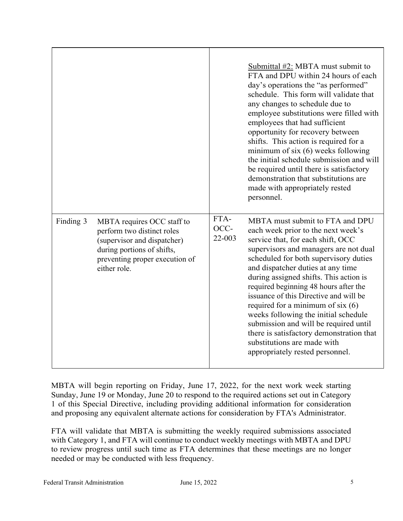|           |                                                                                                                                                                         |                            | Submittal $#2$ : MBTA must submit to<br>FTA and DPU within 24 hours of each<br>day's operations the "as performed"<br>schedule. This form will validate that<br>any changes to schedule due to<br>employee substitutions were filled with<br>employees that had sufficient<br>opportunity for recovery between<br>shifts. This action is required for a<br>minimum of six $(6)$ weeks following<br>the initial schedule submission and will<br>be required until there is satisfactory<br>demonstration that substitutions are<br>made with appropriately rested<br>personnel.                       |
|-----------|-------------------------------------------------------------------------------------------------------------------------------------------------------------------------|----------------------------|------------------------------------------------------------------------------------------------------------------------------------------------------------------------------------------------------------------------------------------------------------------------------------------------------------------------------------------------------------------------------------------------------------------------------------------------------------------------------------------------------------------------------------------------------------------------------------------------------|
| Finding 3 | MBTA requires OCC staff to<br>perform two distinct roles<br>(supervisor and dispatcher)<br>during portions of shifts,<br>preventing proper execution of<br>either role. | FTA-<br>OCC-<br>$22 - 003$ | MBTA must submit to FTA and DPU<br>each week prior to the next week's<br>service that, for each shift, OCC<br>supervisors and managers are not dual<br>scheduled for both supervisory duties<br>and dispatcher duties at any time<br>during assigned shifts. This action is<br>required beginning 48 hours after the<br>issuance of this Directive and will be<br>required for a minimum of six $(6)$<br>weeks following the initial schedule<br>submission and will be required until<br>there is satisfactory demonstration that<br>substitutions are made with<br>appropriately rested personnel. |

MBTA will begin reporting on Friday, June 17, 2022, for the next work week starting Sunday, June 19 or Monday, June 20 to respond to the required actions set out in Category 1 of this Special Directive, including providing additional information for consideration and proposing any equivalent alternate actions for consideration by FTA's Administrator.

FTA will validate that MBTA is submitting the weekly required submissions associated with Category 1, and FTA will continue to conduct weekly meetings with MBTA and DPU to review progress until such time as FTA determines that these meetings are no longer needed or may be conducted with less frequency.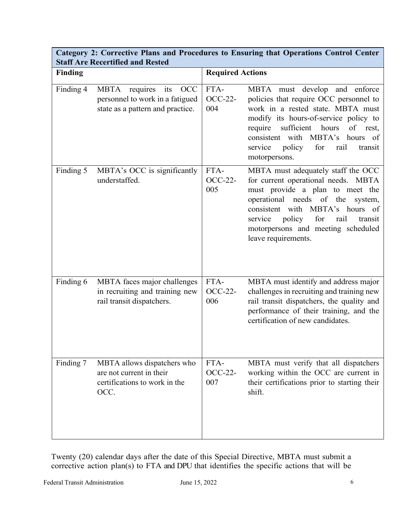| <b>Staff Are Recertified and Rested</b> |                                                                                                           |                               |                                                                                                                                                                                                                                                                                                  |  |  |  |
|-----------------------------------------|-----------------------------------------------------------------------------------------------------------|-------------------------------|--------------------------------------------------------------------------------------------------------------------------------------------------------------------------------------------------------------------------------------------------------------------------------------------------|--|--|--|
| <b>Finding</b>                          |                                                                                                           |                               | <b>Required Actions</b>                                                                                                                                                                                                                                                                          |  |  |  |
| Finding 4                               | requires its<br>MBTA<br><b>OCC</b><br>personnel to work in a fatigued<br>state as a pattern and practice. | FTA-<br><b>OCC-22-</b><br>004 | MBTA must develop and enforce<br>policies that require OCC personnel to<br>work in a rested state. MBTA must<br>modify its hours-of-service policy to<br>require<br>sufficient hours<br>of rest,<br>consistent with MBTA's hours of<br>service<br>policy for<br>rail<br>transit<br>motorpersons. |  |  |  |
| Finding 5                               | MBTA's OCC is significantly<br>understaffed.                                                              | FTA-<br><b>OCC-22-</b><br>005 | MBTA must adequately staff the OCC<br>for current operational needs. MBTA<br>must provide a plan to meet the<br>operational needs of the<br>system,<br>consistent with MBTA's hours of<br>policy for<br>service<br>rail<br>transit<br>motorpersons and meeting scheduled<br>leave requirements.  |  |  |  |
| Finding 6                               | MBTA faces major challenges<br>in recruiting and training new<br>rail transit dispatchers.                | FTA-<br><b>OCC-22-</b><br>006 | MBTA must identify and address major<br>challenges in recruiting and training new<br>rail transit dispatchers, the quality and<br>performance of their training, and the<br>certification of new candidates.                                                                                     |  |  |  |
| Finding 7                               | MBTA allows dispatchers who<br>are not current in their<br>certifications to work in the<br>OCC.          | FTA-<br><b>OCC-22-</b><br>007 | MBTA must verify that all dispatchers<br>working within the OCC are current in<br>their certifications prior to starting their<br>shift.                                                                                                                                                         |  |  |  |

**Category 2: Corrective Plans and Procedures to Ensuring that Operations Control Center** 

Twenty (20) calendar days after the date of this Special Directive, MBTA must submit a corrective action plan(s) to FTA and DPU that identifies the specific actions that will be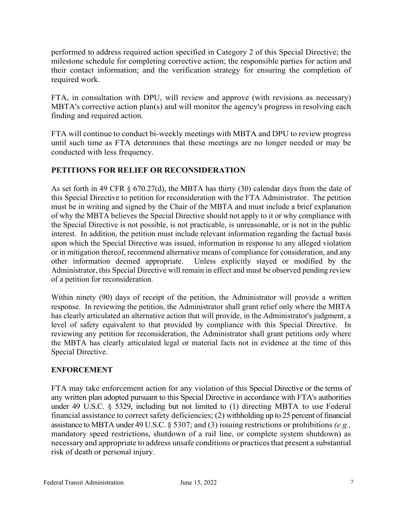performed to address required action specified in Category 2 of this Special Directive; the milestone schedule for completing corrective action; the responsible parties for action and their contact information; and the verification strategy for ensuring the completion of required work.

FTA, in consultation with DPU, will review and approve (with revisions as necessary) MBTA's corrective action plan(s) and will monitor the agency's progress in resolving each finding and required action.

FTA will continue to conduct bi-weekly meetings with MBTA and DPU to review progress until such time as FTA determines that these meetings are no longer needed or may be conducted with less frequency.

# **PETITIONS FOR RELIEF OR RECONSIDERATION**

As set forth in 49 CFR  $\S$  670.27(d), the MBTA has thirty (30) calendar days from the date of this Special Directive to petition for reconsideration with the FTA Administrator. The petition must be in writing and signed by the Chair of the MBTA and must include a brief explanation of why the MBTA believes the Special Directive should not apply to it or why compliance with the Special Directive is not possible, is not practicable, is unreasonable, or is not in the public interest. In addition, the petition must include relevant information regarding the factual basis upon which the Special Directive was issued, information in response to any alleged violation or in mitigation thereof, recommend alternative means of compliance for consideration, and any other information deemed appropriate. Unless explicitly stayed or modified by the Administrator, this Special Directive will remain in effect and must be observed pending review of a petition for reconsideration.

Within ninety (90) days of receipt of the petition, the Administrator will provide a written response. In reviewing the petition, the Administrator shall grant relief only where the MBTA has clearly articulated an alternative action that will provide, in the Administrator's judgment, a level of safety equivalent to that provided by compliance with this Special Directive. In reviewing any petition for reconsideration, the Administrator shall grant petitions only where the MBTA has clearly articulated legal or material facts not in evidence at the time of this Special Directive.

# **ENFORCEMENT**

FTA may take enforcement action for any violation of this Special Directive or the terms of any written plan adopted pursuant to this Special Directive in accordance with FTA's authorities under 49 U.S.C. § 5329, including but not limited to (1) directing MBTA to use Federal financial assistance to correct safety deficiencies; (2) withholding up to 25 percent of financial assistance to MBTA under 49 U.S.C. § 5307; and (3) issuing restrictions or prohibitions *(e.g.,* mandatory speed restrictions, shutdown of a rail line, or complete system shutdown) as necessary and appropriate to address unsafe conditions or practices that present a substantial risk of death or personal injury.